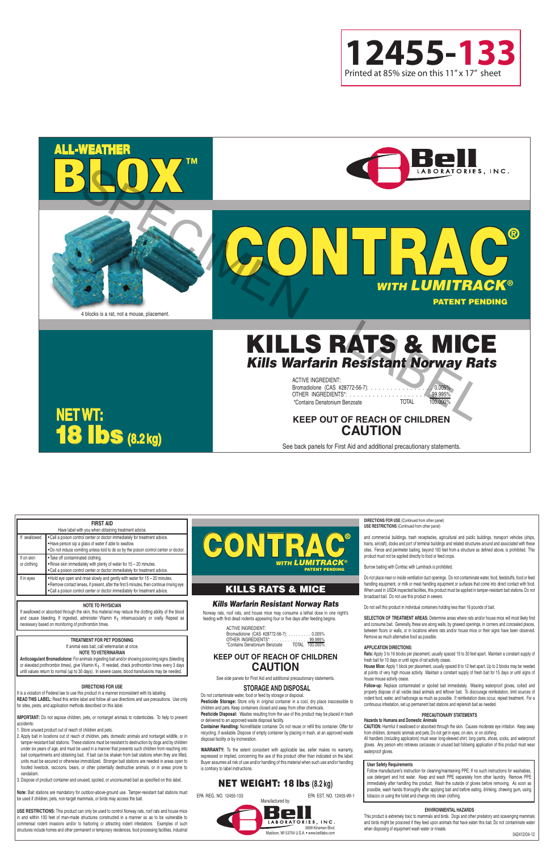**ALL-WEATHER ™**





4 blocks is a rat, not a mouse, placement.

 **NET WT:**

18 lbs **(8.2 kg)**

# HOINTEVANG **WITH LUMITRACK<sup>®</sup>** PATENT PENDING ® WITH LUMITRACK MICHAEL SPATS & MICHAEL SPECIMEN RATION

# KILLS RATS & MICE *Kills Warfarin Resistant Norway Rats*

| <b>ACTIVE INGREDIENT:</b>              |       |          |
|----------------------------------------|-------|----------|
| Bromadiolone (CAS #28772-56-7): 0.005% |       |          |
|                                        |       |          |
| *Contains Denatonium Benzoate          | TOTAL | 100.000% |

# **KEEP OUT OF REACH OF CHILDREN CAUTION**

See back panels for First Aid and additional precautionary statements.